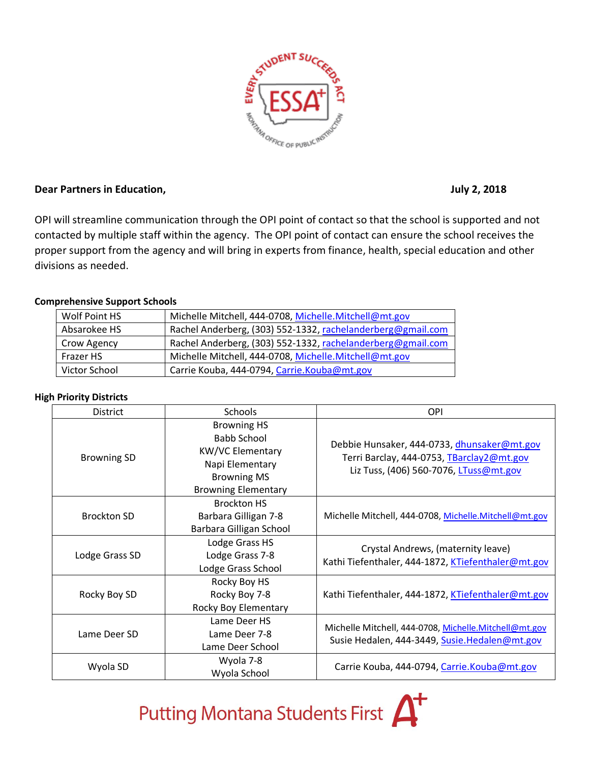

## **Dear Partners in Education, The Contract of Contract Contract Contract Contract Contract Contract Contract Contract Contract Contract Contract Contract Contract Contract Contract Contract Contract Contract Contract Contra**

OPI will streamline communication through the OPI point of contact so that the school is supported and not contacted by multiple staff within the agency. The OPI point of contact can ensure the school receives the proper support from the agency and will bring in experts from finance, health, special education and other divisions as needed.

## **Comprehensive Support Schools**

| Wolf Point HS    | Michelle Mitchell, 444-0708, Michelle.Mitchell@mt.gov       |
|------------------|-------------------------------------------------------------|
| Absarokee HS     | Rachel Anderberg, (303) 552-1332, rachelanderberg@gmail.com |
| Crow Agency      | Rachel Anderberg, (303) 552-1332, rachelanderberg@gmail.com |
| <b>Frazer HS</b> | Michelle Mitchell, 444-0708, Michelle.Mitchell@mt.gov       |
| Victor School    | Carrie Kouba, 444-0794, Carrie.Kouba@mt.gov                 |

## **High Priority Districts**

| <b>District</b>    | <b>Schools</b>                                                                                                                      | OPI                                                                                                                                |
|--------------------|-------------------------------------------------------------------------------------------------------------------------------------|------------------------------------------------------------------------------------------------------------------------------------|
| <b>Browning SD</b> | <b>Browning HS</b><br>Babb School<br><b>KW/VC Elementary</b><br>Napi Elementary<br><b>Browning MS</b><br><b>Browning Elementary</b> | Debbie Hunsaker, 444-0733, dhunsaker@mt.gov<br>Terri Barclay, 444-0753, TBarclay2@mt.gov<br>Liz Tuss, (406) 560-7076, LTuss@mt.gov |
| <b>Brockton SD</b> | <b>Brockton HS</b><br>Barbara Gilligan 7-8<br>Barbara Gilligan School                                                               | Michelle Mitchell, 444-0708, Michelle.Mitchell@mt.gov                                                                              |
| Lodge Grass SD     | Lodge Grass HS<br>Lodge Grass 7-8<br>Lodge Grass School                                                                             | Crystal Andrews, (maternity leave)<br>Kathi Tiefenthaler, 444-1872, KTiefenthaler@mt.gov                                           |
| Rocky Boy SD       | Rocky Boy HS<br>Rocky Boy 7-8<br>Rocky Boy Elementary                                                                               | Kathi Tiefenthaler, 444-1872, KTiefenthaler@mt.gov                                                                                 |
| Lame Deer SD       | Lame Deer HS<br>Lame Deer 7-8<br>Lame Deer School                                                                                   | Michelle Mitchell, 444-0708, Michelle.Mitchell@mt.gov<br>Susie Hedalen, 444-3449, Susie.Hedalen@mt.gov                             |
| Wyola SD           | Wyola 7-8<br>Wyola School                                                                                                           | Carrie Kouba, 444-0794, Carrie.Kouba@mt.gov                                                                                        |